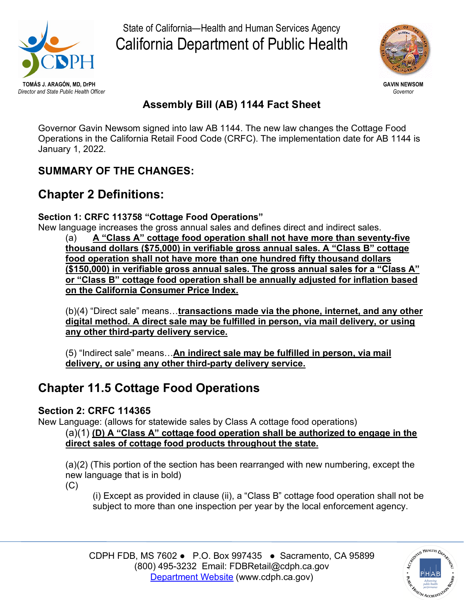

State of California—Health and Human Services Agency California Department of Public Health



## **Assembly Bill (AB) 1144 Fact Sheet**

 Operations in the California Retail Food Code (CRFC). The implementation date for AB 1144 is Governor Gavin Newsom signed into law AB 1144. The new law changes the Cottage Food January 1, 2022.

### **SUMMARY OF THE CHANGES:**

## **Chapter 2 Definitions:**

#### **Section 1: CRFC 113758 "Cottage Food Operations"**

New language increases the gross annual sales and defines direct and indirect sales.

 **or "Class B" cottage food operation shall be annually adjusted for inflation based on the California Consumer Price Index.** (a) **A "Class A" cottage food operation shall not have more than seventy-five thousand dollars (\$75,000) in verifiable gross annual sales. A "Class B" cottage food operation shall not have more than one hundred fifty thousand dollars (\$150,000) in verifiable gross annual sales. The gross annual sales for a "Class A"** 

(b)(4) "Direct sale" means…**transactions made via the phone, internet, and any other digital method. A direct sale may be fulfilled in person, via mail delivery, or using any other third-party delivery service.** 

(5) "Indirect sale" means…**An indirect sale may be fulfilled in person, via mail delivery, or using any other third-party delivery service.** 

# **Chapter 11.5 Cottage Food Operations**

### **Section 2: CRFC 114365**

New Language: (allows for statewide sales by Class A cottage food operations)

 **direct sales of cottage food products throughout the state.**  (a)(1) **(D) A "Class A" cottage food operation shall be authorized to engage in the** 

(a)(2) (This portion of the section has been rearranged with new numbering, except the new language that is in bold)

 $(C)$ 

 (i) Except as provided in clause (ii), a "Class B" cottage food operation shall not be subject to more than one inspection per year by the local enforcement agency.